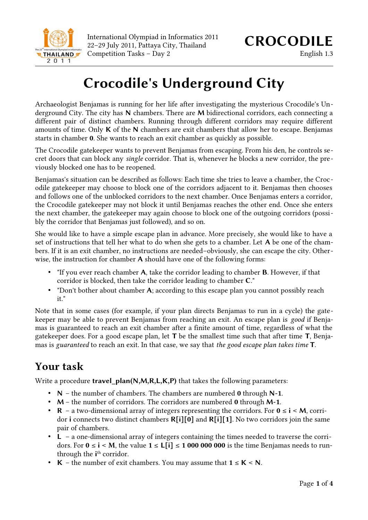

International Olympiad in Informatics 2011 International Olympiad in Informatics 2011<br>22–29 July 2011, Pattaya City, Thailand **CROCODILE** Competition Tasks – Day 2 English 1.3

# **Crocodile's Underground City**

Archaeologist Benjamas is running for her life after investigating the mysterious Crocodile's Underground City. The city has **N** chambers. There are **M** bidirectional corridors, each connecting a different pair of distinct chambers. Running through different corridors may require different amounts of time. Only **K** of the **N** chambers are exit chambers that allow her to escape. Benjamas starts in chamber **0**. She wants to reach an exit chamber as quickly as possible.

The Crocodile gatekeeper wants to prevent Benjamas from escaping. From his den, he controls secret doors that can block any *single* corridor. That is, whenever he blocks a new corridor, the previously blocked one has to be reopened.

Benjamas's situation can be described as follows: Each time she tries to leave a chamber, the Crocodile gatekeeper may choose to block one of the corridors adjacent to it. Benjamas then chooses and follows one of the unblocked corridors to the next chamber. Once Benjamas enters a corridor, the Crocodile gatekeeper may not block it until Benjamas reaches the other end. Once she enters the next chamber, the gatekeeper may again choose to block one of the outgoing corridors (possibly the corridor that Benjamas just followed), and so on.

She would like to have a simple escape plan in advance. More precisely, she would like to have a set of instructions that tell her what to do when she gets to a chamber. Let **A** be one of the chambers. If it is an exit chamber, no instructions are needed–obviously, she can escape the city. Otherwise, the instruction for chamber **A** should have one of the following forms:

- "If you ever reach chamber **A**, take the corridor leading to chamber **B**. However, if that corridor is blocked, then take the corridor leading to chamber **C**."
- "Don't bother about chamber **A**; according to this escape plan you cannot possibly reach it."

Note that in some cases (for example, if your plan directs Benjamas to run in a cycle) the gatekeeper may be able to prevent Benjamas from reaching an exit. An escape plan is *good* if Benjamas is guaranteed to reach an exit chamber after a finite amount of time, regardless of what the gatekeeper does. For a good escape plan, let **T** be the smallest time such that after time **T**, Benjamas is *guaranteed* to reach an exit. In that case, we say that *the good escape plan takes time* **T**.

## **Your task**

Write a procedure **travel\_plan(N,M,R,L,K,P)** that takes the following parameters:

- **N** the number of chambers. The chambers are numbered **0** through **N-1**.
- **M** the number of corridors. The corridors are numbered **0** through **M-1**.
- **R** a two-dimensional array of integers representing the corridors. For **0** ≤ **i** < **M**, corridor **i** connects two distinct chambers **R[i][0]** and **R[i][1]**. No two corridors join the same pair of chambers.
- **L** a one-dimensional array of integers containing the times needed to traverse the corridors. For **0** ≤ **i** < **M**, the value  $1 ≤ L[i] ≤ 100000000$  is the time Benjamas needs to runthrough the *i*<sup>th</sup> corridor.
- **K** − the number of exit chambers. You may assume that  $1 \leq$  **K** < **N**.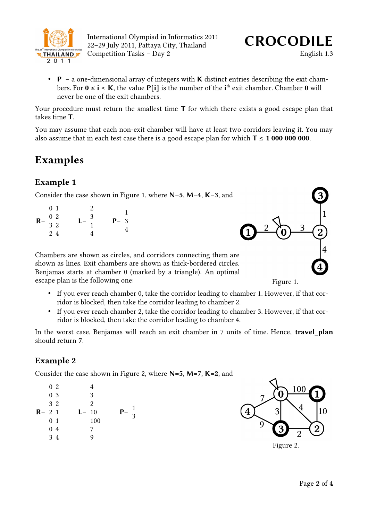

• **P** – a one-dimensional array of integers with **K** distinct entries describing the exit chambers. For  $0 \le i \le K$ , the value  $P[i]$  is the number of the  $i<sup>th</sup>$  exit chamber. Chamber  $0$  will never be one of the exit chambers.

Your procedure must return the smallest time **T** for which there exists a good escape plan that takes time **T**.

You may assume that each non-exit chamber will have at least two corridors leaving it. You may also assume that in each test case there is a good escape plan for which  $T \le 1000000000$ .

## **Examples**

#### **Example 1**

Consider the case shown in Figure 1, where **N=5**, **M=4**, **K=3**, and

| $R = \begin{array}{cc} 0 & 2 \\ 3 & 2 \end{array}$ | 0 <sub>1</sub> | $\mathbf{2}$      |         |
|----------------------------------------------------|----------------|-------------------|---------|
|                                                    |                | $L = \frac{3}{4}$ | $P = 3$ |
|                                                    |                |                   |         |
|                                                    | 24             |                   |         |

Chambers are shown as circles, and corridors connecting them are shown as lines. Exit chambers are shown as thick-bordered circles. Benjamas starts at chamber 0 (marked by a triangle). An optimal escape plan is the following one:

- If you ever reach chamber 0, take the corridor leading to chamber 1. However, if that corridor is blocked, then take the corridor leading to chamber 2.
- If you ever reach chamber 2, take the corridor leading to chamber 3. However, if that corridor is blocked, then take the corridor leading to chamber 4.

In the worst case, Benjamas will reach an exit chamber in 7 units of time. Hence, **travel\_plan** should return **7**.

#### **Example 2**

Consider the case shown in Figure 2, where **N=5**, **M=7**, **K=2**, and

| 0 <sub>2</sub><br>0 <sub>3</sub><br>3 2<br>$R = 21$<br>0 <sub>1</sub><br>0 <sub>4</sub> | $L = 10$ | 3<br>2<br>100<br>7 | $P =$ | 3 |
|-----------------------------------------------------------------------------------------|----------|--------------------|-------|---|
| 34                                                                                      |          | Q                  |       |   |



Figure 2.

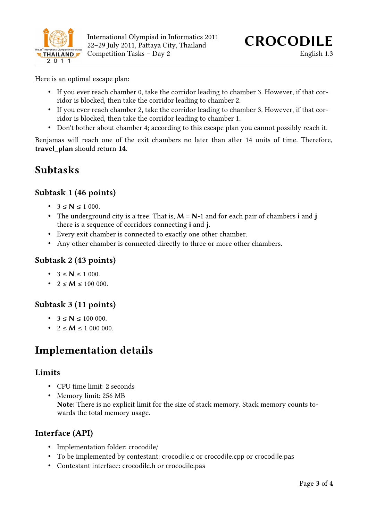

Here is an optimal escape plan:

- If you ever reach chamber 0, take the corridor leading to chamber 3. However, if that corridor is blocked, then take the corridor leading to chamber 2.
- If you ever reach chamber 2, take the corridor leading to chamber 3. However, if that corridor is blocked, then take the corridor leading to chamber 1.
- Don't bother about chamber 4; according to this escape plan you cannot possibly reach it.

Benjamas will reach one of the exit chambers no later than after 14 units of time. Therefore, **travel\_plan** should return **14**.

### **Subtasks**

#### **Subtask 1 (46 points)**

- $3 \le N \le 1000$ .
- The underground city is a tree. That is, **M** = **N**-1 and for each pair of chambers **i** and **j** there is a sequence of corridors connecting **i** and **j**.
- Every exit chamber is connected to exactly one other chamber.
- Any other chamber is connected directly to three or more other chambers.

#### **Subtask 2 (43 points)**

- $3 \le N \le 1000$ .
- $2 \le M \le 100000$ .

#### **Subtask 3 (11 points)**

- $3 \le N \le 100000$ .
- $2 \le M \le 1000000$ .

### **Implementation details**

#### **Limits**

- CPU time limit: 2 seconds
- Memory limit: 256 MB **Note:** There is no explicit limit for the size of stack memory. Stack memory counts towards the total memory usage.

#### **Interface (API)**

- Implementation folder: crocodile/
- To be implemented by contestant: crocodile.c or crocodile.cpp or crocodile.pas
- Contestant interface: crocodile.h or crocodile.pas